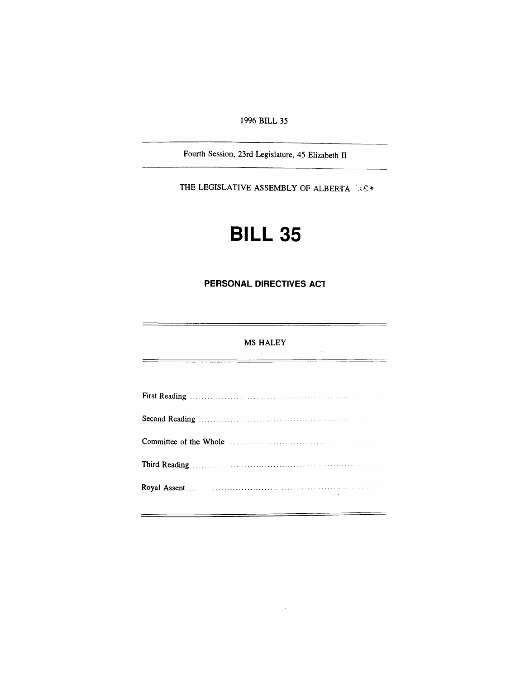# *1996 BILL 35*

*Fourth Session, 23rd Legislature, 45 Elizabeth II*

*THE LEGISLATIVE ASSEMBLY OF ALBERTA*

# *BILL 35*

*PERSONAL DIRECTIVES ACT*

## *MS HALEY*

ester

 $\sim$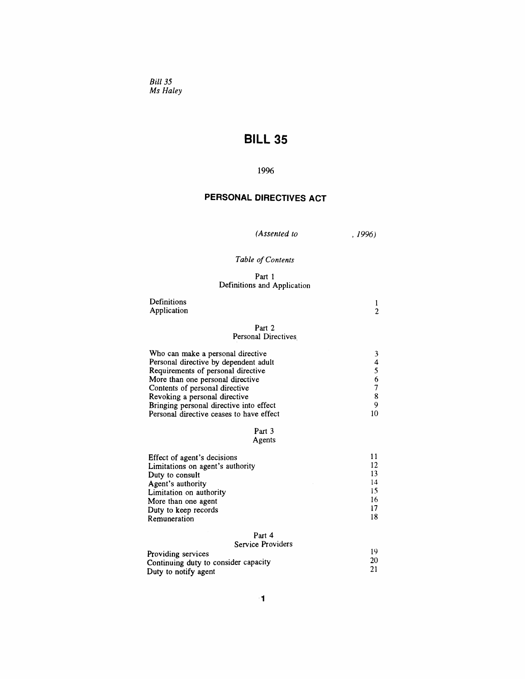*Bill 35 Ms Haley*

# *BILL 35*

## *1996*

# *PERSONAL DIRECTIVES ACT*

*(Assented to ,1996)*

# *Table ofContents*

#### *Part <sup>1</sup> Definitions and Application*

| Definitions<br>Application |        | ി |
|----------------------------|--------|---|
|                            | Part 2 |   |

# *Personal Directives*

| Who can make a personal directive        |    |
|------------------------------------------|----|
| Personal directive by dependent adult    | 4  |
| Requirements of personal directive       |    |
| More than one personal directive         | 6  |
| Contents of personal directive           |    |
| Revoking a personal directive            | 8  |
| Bringing personal directive into effect  | q  |
| Personal directive ceases to have effect | 10 |

#### *Part 3 Agents*

| Effect of agent's decisions      |    |
|----------------------------------|----|
| Limitations on agent's authority | 12 |
| Duty to consult                  | 13 |
| Agent's authority                | 14 |
| Limitation on authority          | 15 |
| More than one agent              | 16 |
| Duty to keep records             | 17 |
| Remuneration                     | 18 |
| <b>n</b> 1                       |    |

#### *Part 4 Service Providers*

| Providing services                   |    |
|--------------------------------------|----|
| Continuing duty to consider capacity | 20 |
|                                      |    |
| Duty to notify agent                 |    |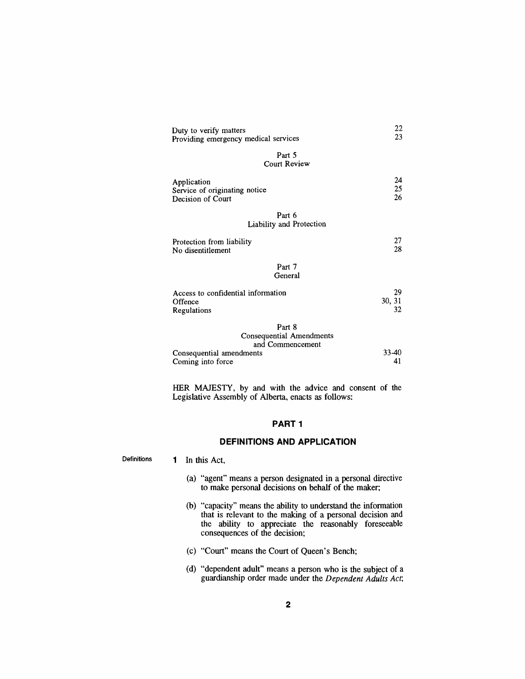| Duty to verify matters<br>Providing emergency medical services    | 22<br>23           |
|-------------------------------------------------------------------|--------------------|
| Part 5<br><b>Court Review</b>                                     |                    |
| Application<br>Service of originating notice<br>Decision of Court | 24<br>25<br>26     |
| Part 6<br>Liability and Protection                                |                    |
| Protection from liability<br>No disentitlement                    | 27<br>28           |
| Part 7<br>General                                                 |                    |
| Access to confidential information<br>Offence<br>Regulations      | 29<br>30, 31<br>32 |
| Part 8                                                            |                    |
| <b>Consequential Amendments</b><br>and Commencement               |                    |
| Consequential amendments                                          | 33-40              |
| Coming into force                                                 | 41                 |

*HER MAJESTY, by and with the advice and consent of the Legislative Assembly of Alberta, enacts as follows:*

#### *PART<sup>1</sup>*

#### *DEFINITIONS AND APPLICATION*

*Definitions <sup>1</sup> In this Act,*

- *(a) "agent" means a person designated in a personal directive to make personal decisions on behalf of the maker;*
- *(b) "capacity" means the ability to understand the information that is relevant to the making of a personal decision and the ability to appreciate the reasonably foreseeable consequences of the decision;*
- *(c) "Court" means the Court of Queen's Bench;*
- *(d) "dependent adult" means a person who is the subject of a guardianship order made under the Dependent Adults Act;*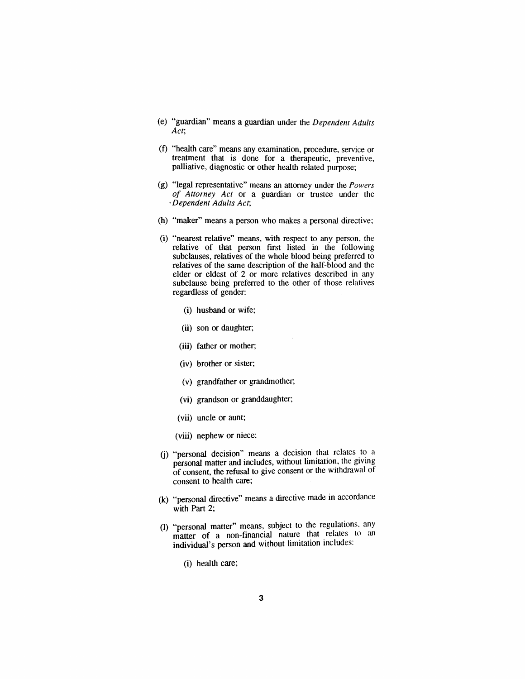- *(e) "guardian" means a guardian under the Dependent Adults Act;*
- *(f) "health care" means any examination, procedure, service or treatment that is done for a therapeutic, preventive, palliative, diagnostic or other health related purpose;*
- *(g) "legal representative" means an attorney under the Powers of Attorney Act or a guardian or trustee under the 'Dependent Adults Act;*
- *(h) "maker" means a person who makes a personal directive;*
- *(i) "nearest relative" means, with respect to any person, the relative of that person first listed in the following subclauses, relatives of the whole blood being preferred to relatives of the same description of the half-blood and the elder or eldest of 2 or more relatives described in any subclause being preferred to the other of those relatives regardless of gender;*
	- *(i) husband or wife;*
	- *(ii) son or daughter;*
	- *(iii) father or mother;*
	- *(iv) brother or sister;*
	- *(v) grandfather or grandmother;*
	- *(vi) grandson or granddaughter;*
	- *(vii) uncle or aunt;*
	- *(viii) nephew or niece;*
- *(j) "personal decision" means a decision that relates to a personal matter and includes, without limitation, the giving of consent, the refusal to give consent or the withdrawal of consent to health care;*
- *(k) "personal directive" means a directive made in accordance with Part 2;*
- *(l) "personal matter" means, subject to the regulations, any matter of a non-financial nature that relates to an individual's person and without limitation includes.*
	- *(i) health care;*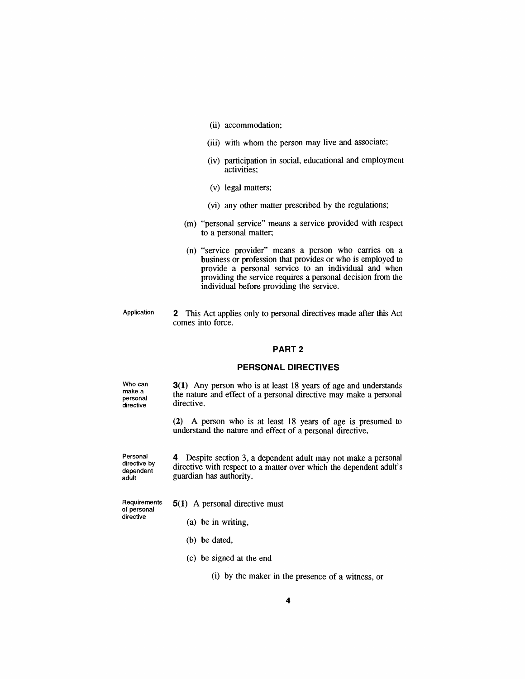- *(ii) accommodation;*
- *(iii) with whom the person may live and associate;*
- *(iv) participation in social, educational and employment activities;*
- *(v) legal matters;*
- *(vi) any other matter prescribed by the regulations;*
- *(m) "personal service" means a service provided with respect to a personal matter;*
- *(n) "service provider" means a person who carries on a business or profession that provides or who is employed to provide a personal service to an individual and when providing the service requires a personal decision from the individual before providing the service.*
- *Application 2 This Act applies only to personal directives made after this Act comes into force.*

#### *PART 2*

#### *PERSONAL DIRECTIVES*

*Who can make a personal directive*

*3(1) Any person who is at least 18 years of age and understands the nature and effect of a personal directive may make a personal directive.*

*(2) A person who is at least 18 years of age is presumed to understand the nature and effect of a personal directive.*

*Personal directive by dependent adult*

*4 Despite section 3, a dependent adult may not make a personal directive with respect to a matter over which the dependent adult's guardian has authority.*

*Requirements of personal directive*

- *5(1) A personal directive must*
	- *(a) be in writing,*
	- *(b) be dated,*
	- *(c) be signed at the end*

*(i) by the maker in the presence of a witness, or*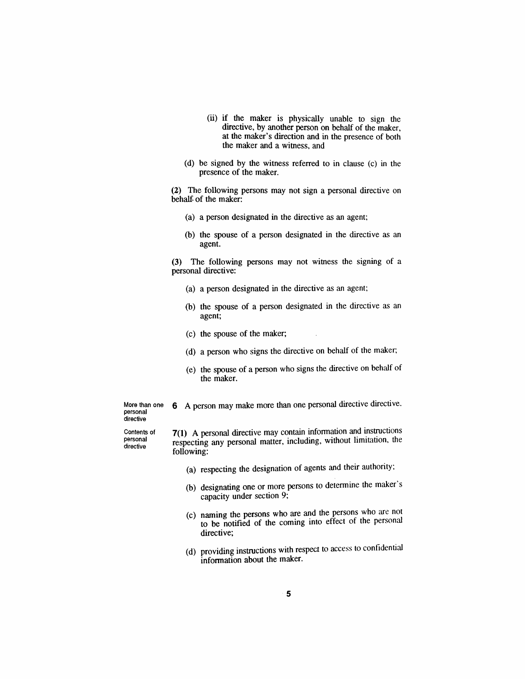- *(ii) if the maker is physically unable to sign the directive, by another person on behalf of the maker, at the maker's direction and in the presence of both the maker and a witness, and*
- *(d) be signed by the witness referred to in clause (c) in the presence of the maker.*

*(2) The following persons may not sign a personal directive on behalf of the maker:*

- *(a) a person designated in the directive as an agent;*
- *(b) the spouse of a person designated in the directive as an agent.*

*(3) The following persons may not witness the signing of a personal directive:*

- *(a) a person designated in the directive as an agent;*
- *(b) the spouse of a person designated in the directive as an agent;*
- *(c) the spouse of the maker;*
- *(d) a person who signs the directive on behalf of the maker;*
- *(e) the spouse of a person who signs the directive on behalf of the maker.*

*More than one personal directive*

*6 A person may make more than one personal directive directive.*

*Contents of personal directive*

*7(1) A personal directive may contain information and instructions respecting any personal matter, including, without limitation, the following:*

- *(a) respecting the designation of agents and their authority;*
- *(b) designating one or more persons to determine the maker s capacity under section 9;*
- *(c) naming the persons who are and the persons who are not to be notified of the coming into effect of the personal directive;*
- *(d) providing instructions with respect to access to confidential information about the maker.*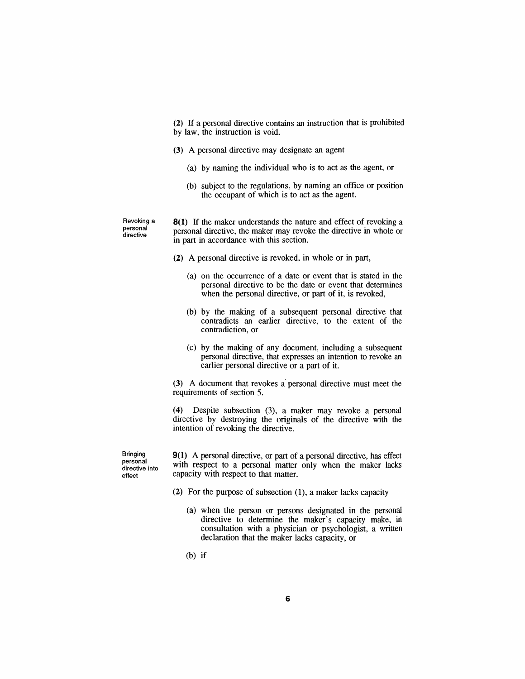*(2) If a personal directive contains an instruction that is prohibited by law, the instruction is void.*

- *(3) A personal directive may designate an agent*
	- *(a) by naming the individual who is to act as the agent, or*
	- *(b) subject to the regulations, by naming an office or position the occupant of which is to act as the agent.*

*Revoking a personal directive*

*8(1) If the maker understands the nature and effect of revoking a personal directive, the maker may revoke the directive in whole or in part in accordance with this section.*

- *(2) A personal directive is revoked, in whole or in part,*
	- *(a) on the occurrence of a date or event that is stated in the personal directive to be the date or event that determines when the personal directive, or part of it, is revoked,*
	- *(b) by the making of a subsequent personal directive that contradicts an earlier directive, to the extent of the contradiction, or*
	- *(c) by the making of any document, including a subsequent personal directive, that expresses an intention to revoke an earlier personal directive or a part of it.*

*(3) A document that revokes a personal directive must meet the requirements of section 5.*

*(4) Despite subsection (3), a maker may revoke a personal directive by destroying the originals of the directive with the intention of revoking the directive.*

*Bringing personal directive into effect*

*9(1) A personal directive, or part of a personal directive, has effect with respect to a personal matter only when the maker lacks capacity with respect to that matter.*

- *(2) For the purpose of subsection (1), a maker lacks capacity*
	- *(a) when the person or persons designated in the personal directive to determine the maker's capacity make, in consultation with a physician or psychologist, a written declaration that the maker lacks capacity, or*
	- *(b) if*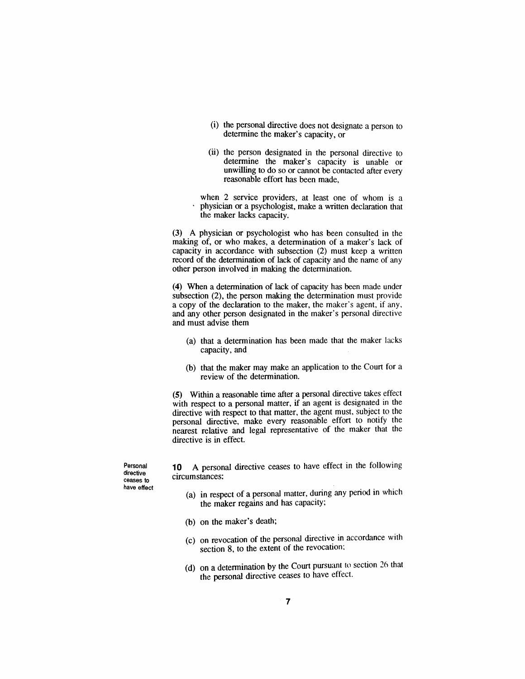- *(i) the personal directive does not designate a person to determine the maker's capacity, or*
- *(ii) the person designated in the personal directive to determine the maker's capacity is unable or unwilling to do so or cannot be contacted after every reasonable effort has been made,*
- *when 2 service providers, at least one of whom is a physician or a psychologist, make a written declaration that the maker lacks capacity.*

*(3) A physician or psychologist who has been consulted in the making of, or who makes, a determination of a maker's lack of capacity in accordance with subsection (2) must keep a written record of the determination of lack of capacity and the name of any other person involved in making the determination.*

*(4) When a determination of lack of capacity has been made under subsection (2), the person making the determination must provide a copy of the declaration to the maker, the maker's agent, if any, and any other person designated in the maker's personal directive and must advise them*

- *(a) that a determination has been made that the maker lacks capacity, and*
- *(b) that the maker may make an application to the Court for a review of the determination.*

*(5) Within a reasonable time after a personal directive takes effect with respect to a personal matter, if an agent is designated in the directive with respect to that matter, the agent must, subject to the personal directive, make every reasonable effort to notify the nearest relative and legal representative of the maker that the directive is in effect.*

*Personal directive ceases to have effect*

*10 A personal directive ceases to have effect in the following circumstances:*

- *(a) in respect of a personal matter, during any period in which the maker regains and has capacity:*
- *(b) on the maker's death;*
- *(c) on revocation of the personal directive in accordance with section 8, to the extent of the revocation;*
- *(d) on a determination by the Court pursuant to section 26 that the personal directive ceases to have effect.*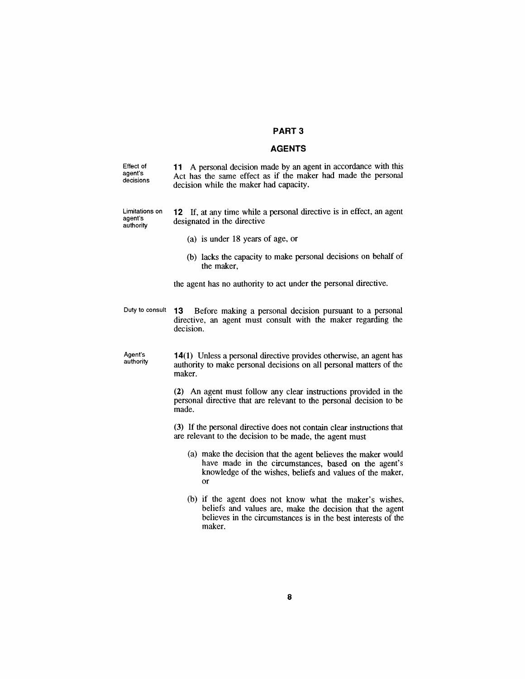#### *PART 3*

#### *AGENTS*

*Effect of agent's decisions 11 A personal decision made by an agent in accordance with this Act has the same effect as if the maker had made the personal decision while the maker had capacity.*

*Limitations on agent's authority 12 If, at any time while a personal directive is in effect, an agent designated in the directive*

- *(a) is under 18 years of age, or*
- *(b) lacks the capacity to make personal decisions on behalf of the maker,*

*the agent has no authority to act under the personal directive.*

*Duty to consult 13 Before making a personal decision pursuant to a personal directive, an agent must consult with the maker regarding the decision.*

*Agent's authority 14(1) Unless a personal directive provides otherwise, an agent has authority to make personal decisions on all personal matters of the maker.*

> *(2) An agent must follow any clear instructions provided in the personal directive that are relevant to the personal decision to be made.*

> *(3) If the personal directive does not contain clear instructions that are relevant to the decision to be made, the agent must*

- *(a) make the decision that the agent believes the maker would have made in the circumstances, based on the agent's knowledge of the wishes, beliefs and values of the maker, or*
- *(b) if the agent does not know what the maker's wishes, beliefs and values are, make the decision that the agent believes in the circumstances is in the best interests of the maker.*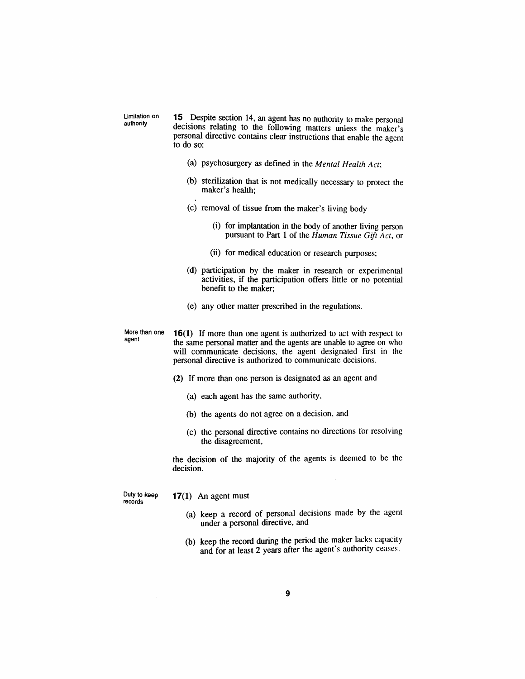*Limitation on authority*

*15 Despite section 14, an agent has no authority to make personal decisions relating to the following matters unless the maker's personal directive contains clear instructions that enable the agent to do so:*

- *(a) psychosurgery as defined in the Mental Health Act;*
- *(b) sterilization that is not medically necessary to protect the maker's health;*
- *(c) removal of tissue from the maker's living body*
	- *(i) for implantation in the body of another living person pursuant to Part <sup>1</sup> of the Human Tissue Gift Act, or*
	- *(ii) for medical education or research purposes;*
- *(d) participation by the maker in research or experimental activities, if the participation offers little or no potential benefit to the maker;*
- *(e) any other matter prescribed in the regulations.*

*More than one agent*

*16(1) If more than one agent is authorized to act with respect to the same personal matter and the agents are unable to agree on who will communicate decisions, the agent designated first in the personal directive is authorized to communicate decisions.*

- *(2) If more than one person is designated as an agent and*
	- *(a) each agent has the same authority,*
	- *(b) the agents do not agree on a decision, and*
	- *(c) the personal directive contains no directions for resolving the disagreement,*

*the decision of the majority of the agents is deemed to be the decision.*

*Duty to keep records*

- *17(1) An agent must*
	- *(a) keep a record of personal decisions made by the agent under a personal directive, and*
	- *(b) keep the record during the period the maker lacks capacity and for at least 2 years after the agent's authority ceases.*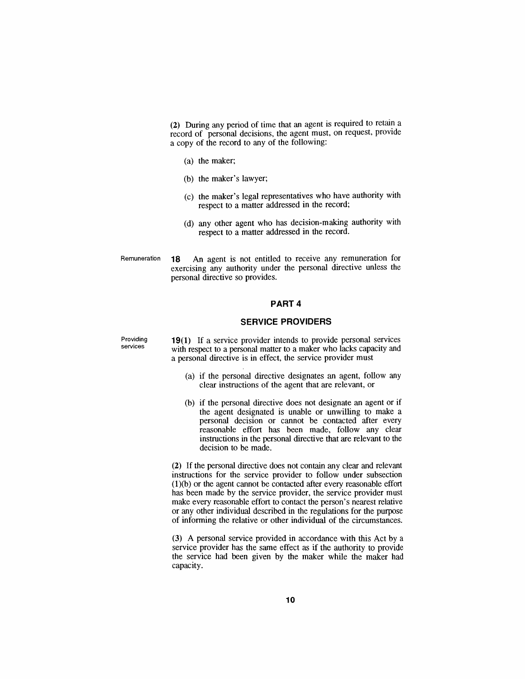*(2) During any period of time that an agent is required to retain a record of personal decisions, the agent must, on request, provide a copy of the record to any of the following:*

- *(a) the maker;*
- *(b) the maker's lawyer;*
- *(c) the maker's legal representatives who have authority with respect to a matter addressed in the record;*
- *(d) any other agent who has decision-making authority with respect to a matter addressed in the record.*
- *Remuneration 18 An agent is not entitled to receive any remuneration for exercising any authority under the personal directive unless the personal directive so provides.*

#### *PART 4*

#### *SERVICE PROVIDERS*

*Providing services*

*19(1) If a service provider intends to provide personal services with respect to a personal matter to a maker who lacks capacity and a personal directive is in effect, the service provider must*

- *(a) if the personal directive designates an agent, follow any clear instructions of the agent that are relevant, or*
- *(b) if the personal directive does not designate an agent or if the agent designated is unable or unwilling to make a personal decision or cannot be contacted after every reasonable effort has been made, follow any clear instructions in the personal directive that are relevant to the decision to be made.*

*(2) If the personal directive does not contain any clear and relevant instructions for the service provider to follow under subsection (1)(b) or the agent cannot be contacted after every reasonable effort has been made by the service provider, the service provider must make every reasonable effort to contact the person's nearest relative or any other individual described in the regulations for the purpose of informing the relative or other individual of the circumstances.*

*(3) A personal service provided in accordance with this Act by a service provider has the same effect as if the authority to provide the service had been given by the maker while the maker had capacity.*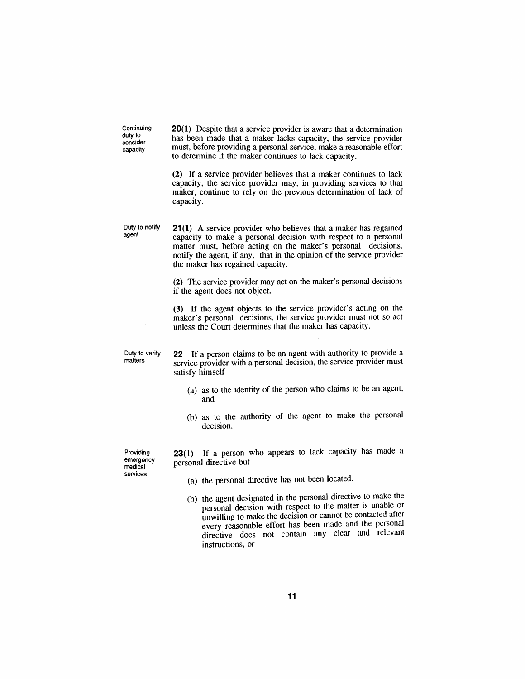*Continuing duty to consider capacity*

*20(1) Despite that a service provider is aware that a determination has been made that a maker lacks capacity, the service provider must, before providing a personal service, make a reasonable effort to determine if the maker continues to lack capacity.*

*(2) If a service provider believes that a maker continues to lack capacity, the service provider may, in providing services to that maker, continue to rely on the previous determination of lack of capacity.*

*Duty to notify agent 21(1) A service provider who believes that a maker has regained capacity to make a personal decision with respect to a personal matter must, before acting on the maker's personal decisions, notify the agent, if any, that in the opinion of the service provider the maker has regained capacity.*

> *(2) The service provider may act on the maker's personal decisions if the agent does not object.*

> *(3) If the agent objects to the service provider's acting on the maker's personal decisions, the service provider must not so act unless the Court determines that the maker has capacity.*

*Duty to verify matters*

*22 If a person claims to be an agent with authority to provide a service provider with a personal decision, the service provider must satisfy himself*

- *(a) as to the identity of the person who claims to be an agent, and*
- *(b) as to the authority of the agent to make the personal decision.*
- *Providing emergency medical services*

*23(1) If a person who appears to lack capacity has made a personal directive but*

- *(a) the personal directive has not been located,*
- *(b) the agent designated in the personal directive to make the personal decision with respect to the matter is unable or unwilling to make the decision or cannot be contacted after every reasonable effort has been made and the personal directive does not contain any clear and relevant instructions, or*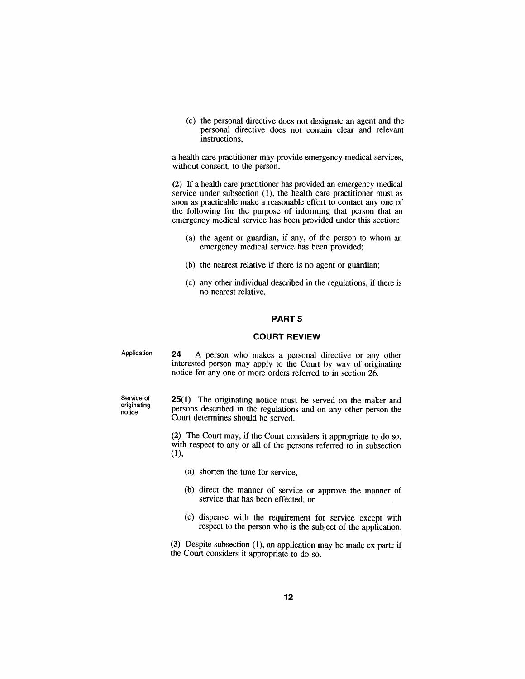*(c) the personal directive does not designate an agent and the personal directive does not contain clear and relevant instructions,*

*a health care practitioner may provide emergency medical services, without consent, to the person.*

*(2) If a health care practitioner has provided an emergency medical service under subsection (1), the health care practitioner must as soon as practicable make a reasonable effort to contact any one of the following for the purpose of informing that person that an emergency medical service has been provided under this section:*

- *(a) the agent or guardian, if any, of the person to whom an emergency medical service has been provided;*
- *(b) the nearest relative if there is no agent or guardian;*
- *(c) any other individual described in the regulations, if there is no nearest relative.*

#### *PART 5*

#### *COURT REVIEW*

*Application 24 A person who makes a personal directive or any other interested person may apply to the Court by way of originating notice for any one or more orders referred to in section 26.*

*Service of originating notice*

*25(1) The originating notice must be served on the maker and persons described in the regulations and on any other person the Court determines should be served.*

*(2) The Court may, if the Court considers it appropriate to do so, with respect to any or all of the persons referred to in subsection (1),*

- *(a) shorten the time for service,*
- *(b) direct the manner of service or approve the manner of service that has been effected, or*
- *(c) dispense with the requirement for service except with respect to the person who is the subject of the application.*

*(3) Despite subsection (1), an application may be made ex parte if the Court considers it appropriate to do so.*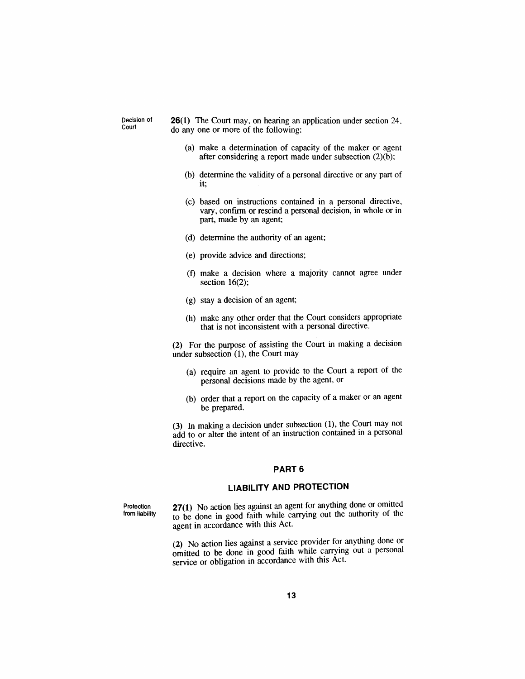*Decision of Court*

*26(1) The Court may, on hearing an application under section 24, do any one or more of the following:*

- *(a) make a determination of capacity of the maker or agent after considering a report made under subsection (2)(b);*
- *(b) determine the validity of a personal directive or any part of it;*
- *(c) based on instructions contained in a personal directive, vary, confirm or rescind a personal decision, in whole or in part, made by an agent;*
- *(d) determine the authority of an agent;*
- *(e) provide advice and directions;*
- *(f) make a decision where a majority cannot agree under section 16(2);*
- *(g) stay a decision of an agent;*
- *(h) make any other order that the Court considers appropriate that is not inconsistent with a personal directive.*

*(2) For the purpose of assisting the Court in making a decision under subsection (1), the Court may*

- *(a) require an agent to provide to the Court a report of the personal decisions made by the agent, or*
- *(b) order that a report on the capacity of a maker or an agent be prepared.*

*(3) In making a decision under subsection (1), the Court may not add to or alter the intent of an instruction contained in a personal directive.*

#### *PART 6*

#### *LIABILITY AND PROTECTION*

*Protection from liability*

*27(1) No action lies against an agent for anything done or omitted to be done in good faith while carrying out the authority of the agent in accordance with this Act.*

*(2) No action lies against a service provider for anything done or omitted to be done in good faith while carrying out a personal service or obligation in accordance with this Act.*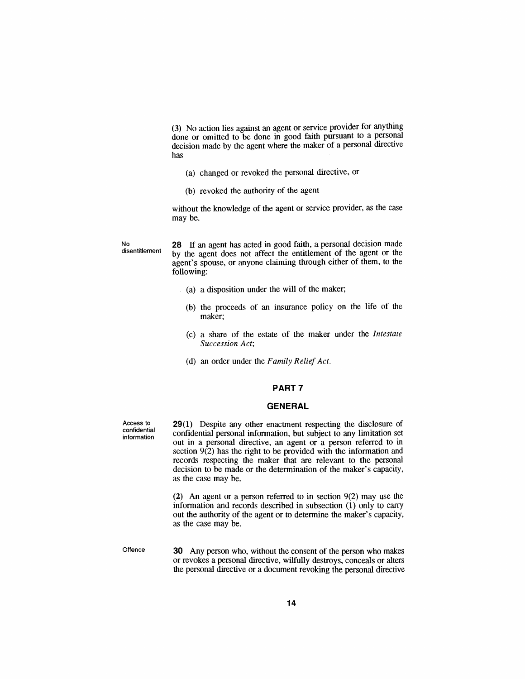*(3) No action lies against an agent or service provider for anything done or omitted to be done in good faith pursuant to a personal decision made by the agent where the maker of a personal directive has*

- *(a) changed or revoked the personal directive, or*
- *(b) revoked the authority of the agent*

*without the knowledge of the agent or service provider, as the case may be.*

*No disentitlement* *28 If an agent has acted in good faith, a personal decision made by the agent does not affect the entitlement of the agent or the agent's spouse, or anyone claiming through either of them, to the following:*

- *(a) a disposition under the will of the maker;*
- *(b) the proceeds of an insurance policy on the life of the maker;*
- *(c) a share of the estate of the maker under the Intestate Succession Act;*
- *(d) an order under the Family ReliefAct.*

#### *PART 7*

#### *GENERAL*

*Access to confidential information*

*29(1) Despite any other enactment respecting the disclosure of confidential personal information, but subject to any limitation set out in a personal directive, an agent or a person referred to in section 9(2) has the right to be provided with the information and records respecting the maker that are relevant to the personal decision to be made or the determination of the maker's capacity, as the case may be.*

*(2) An agent or a person referred to in section 9(2) may use the information and records described in subsection (1) only to carry out the authority of the agent or to determine the maker's capacity, as the case may be.*

*Offence 30 Any person who, without the consent of the person who makes or revokes a personal directive, wilfully destroys, conceals or alters the personal directive or a document revoking the personal directive*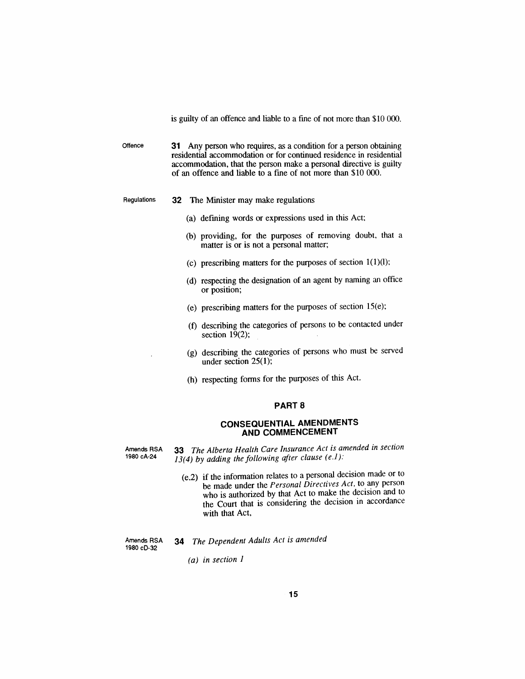*is guilty of an offence and liable to a fine of not more than \$10 000.*

*Offence 31 Any person who requires, as a condition for a person obtaining residential accommodation or for continued residence in residential accommodation, that the person make a personal directive is guilty of an offence and liable to a fine of not more than \$10 000.*

- *Regulations 32 The Minister may make regulations*
	- *(a) defining words or expressions used in this Act;*
	- *(b) providing, for the purposes of removing doubt, that a matter is or is not a personal matter;*
	- *(c) prescribing matters for the purposes of section <sup>1</sup>(1)(l);*
	- *(d) respecting the designation of an agent by naming an office or position;*
	- *(e) prescribing matters for the purposes of section 15(e);*
	- *(f) describing the categories of persons to be contacted under section 19(2);*
	- *(g) describing the categories of persons who must be served under section 25(1);*
	- *(h) respecting forms for the purposes of this Act.*

#### *PART 8*

#### *CONSEQUENTIAL AMENDMENTS AND COMMENCEMENT*

*Amends RSA 1980 cA-24*

*33 The Alberta Health Care Insurance Act is amended in section 13(4) by adding the following after clause (e.1):*

> *(e.2) if the information relates to a personal decision made or to be made under the Personal Directives Act, to any person who is authorized by that Act to make the decision and to the Court that is considering the decision in accordance with that Act,*

*Amends RSA 1980 cD-32*

*(a) in section <sup>1</sup>*

*34 The Dependent Adults Act is amended*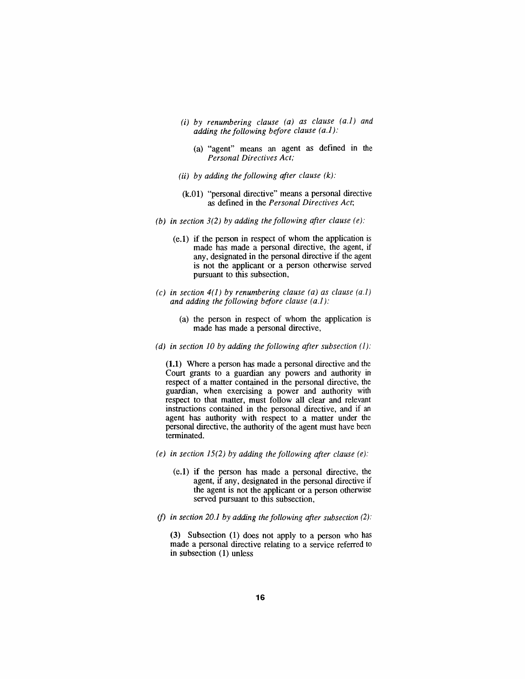- *(i) by renumbering clause (a) as clause (a.1) and adding the following before clause (a.1):*
	- *(a) "agent" means an agent as defined in the Personal Directives Act;*
- *(ii) by adding the following after clause (k):*
- *(k.01) "personal directive" means a personal directive as defined in the Personal Directives Act;*
- *(b) in section 3(2) by adding the following after clause (e):*
	- *(e.1) if the person in respect of whom the application is made has made a personal directive, the agent, if any, designated in the personal directive if the agent is not the applicant or a person otherwise served pursuant to this subsection,*
- *(c) in section 4(1) by renumbering clause (a) as clause (a.1) and adding the following before clause (a.1):*
	- *(a) the person in respect of whom the application is made has made a personal directive,*
- *(d) in section 10 by adding the following after subsection (1):*

*(1.1) Where a person has made a personal directive and the Court grants to a guardian any powers and authority in respect of a matter contained in the personal directive, the guardian, when exercising a power and authority with respect to that matter, must follow all clear and relevant instructions contained in the personal directive, and if an agent has authority with respect to a matter under the personal directive, the authority of the agent must have been terminated.*

- *(e) in section 15(2) by adding the following after clause (e):*
	- *(e.1) if the person has made a personal directive, the agent, if any, designated in the personal directive if the agent is not the applicant or a person otherwise served pursuant to this subsection,*
- *(f) in section 20.1 by adding the following after subsection (2):*

*(3) Subsection (1) does not apply to a person who has made a personal directive relating to a service referred to in subsection (1) unless*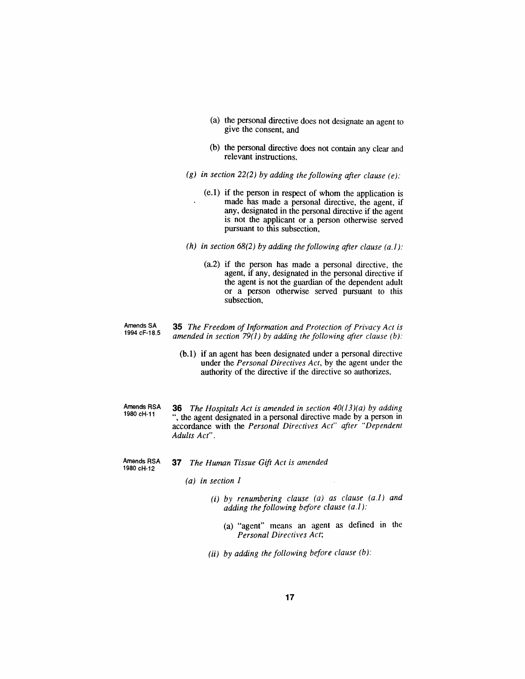- *(a) the personal directive does not designate an agent to give the consent, and*
- *(b) the personal directive does not contain any clear and relevant instructions.*
- *(g) in section 22(2) by adding the following after clause (e):*
	- *(e.1) if the person in respect of whom the application is made has made a personal directive, the agent, if any, designated in the personal directive if the agent is not the applicant or a person otherwise served pursuant to this subsection,*
- *(h) in section 68(2) by adding the following after clause (a.1):*
	- *(a.2) if the person has made a personal directive, the agent, if any, designated in the personal directive if the agent is not the guardian of the dependent adult or a person otherwise served pursuant to this subsection,*
- *Amends SA 1994 cF-18.5 35 The Freedom ofInformation and Protection of Privacy Act is amended in section 79(1) by adding the following after clause (b):*
	- *(b.1) if an agent has been designated under a personal directive under the Personal Directives Act, by the agent under the authority of the directive if the directive so authorizes,*
- *Amends RSA 1980 cH-11 36 The Hospitals Act is amended in section 40(13)(a) by adding ", the agent designated in a personal directive made by a person in accordance with the Personal Directives Act" after "Dependent Adults Act".*
- *Amends RSA 1980 cH-12 37 The Human Tissue Gift Act is amended*
	- *(a) in section <sup>1</sup>*
		- *(i) by renumbering clause (a) as clause (a.1) and adding the following before clause (a.1):*
			- *(a) "agent" means an agent as defined in the Personal Directives Act;*
		- *(ii) by adding the following before clause (b):*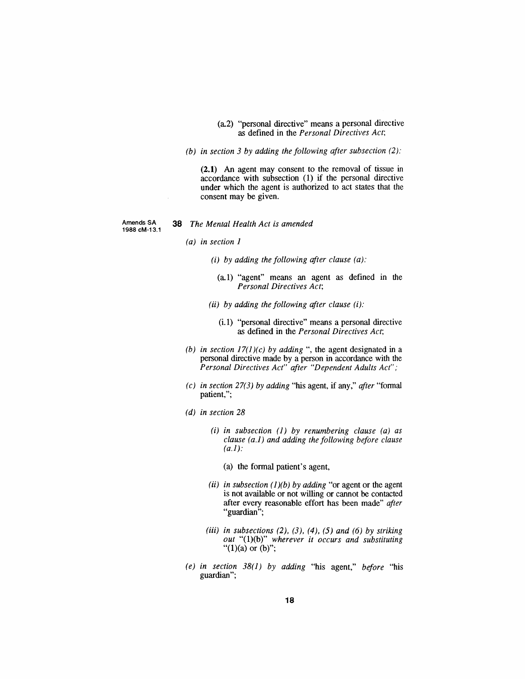- *(a.2) "personal directive" means a personal directive as defined in the Personal Directives Act;*
- *(b) in section 3 by adding the following after subsection (2):*

*(2.1) An agent may consent to the removal of tissue in accordance with subsection (1) if the personal directive under which the agent is authorized to act states that the consent may be given.*

*Amends SA 1988 cM-13.1*

#### *38 The Mental Health Act is amended*

- *(a) in section <sup>1</sup>*
	- *(i) by adding the following after clause (a):*
		- *(a.1) "agent" means an agent as defined in the Personal Directives Act;*
	- *(ii) by adding the following after clause (i):*
		- *(i.1) "personal directive" means a personal directive as defined in the Personal Directives Act;*
- *(b) in section 17(1)(c) by adding ", the agent designated in a personal directive made by a person in accordance with the Personal Directives Act" after "Dependent Adults Act";*
- *(c) in section 27(3) by adding "his agent, if any," after "formal patient,";*
- *(d) in section 28*
	- *(i) in subsection (1) by renumbering clause (a) as clause (a.1) and adding the following before clause (a.1):*
		- *(a) the formal patient's agent,*
	- *(ii) in subsection (1)(b) by adding "or agent or the agent is not available or not willing or cannot be contacted after every reasonable effort has been made" after "guardian";*
	- *(iii) in subsections (2), (3), (4), (5) and (6) by striking out "(1)(b)" wherever it occurs and substituting "(1)(a) or (b)";*
- *(e) in section 38(1) by adding "his agent," before "his guardian";*